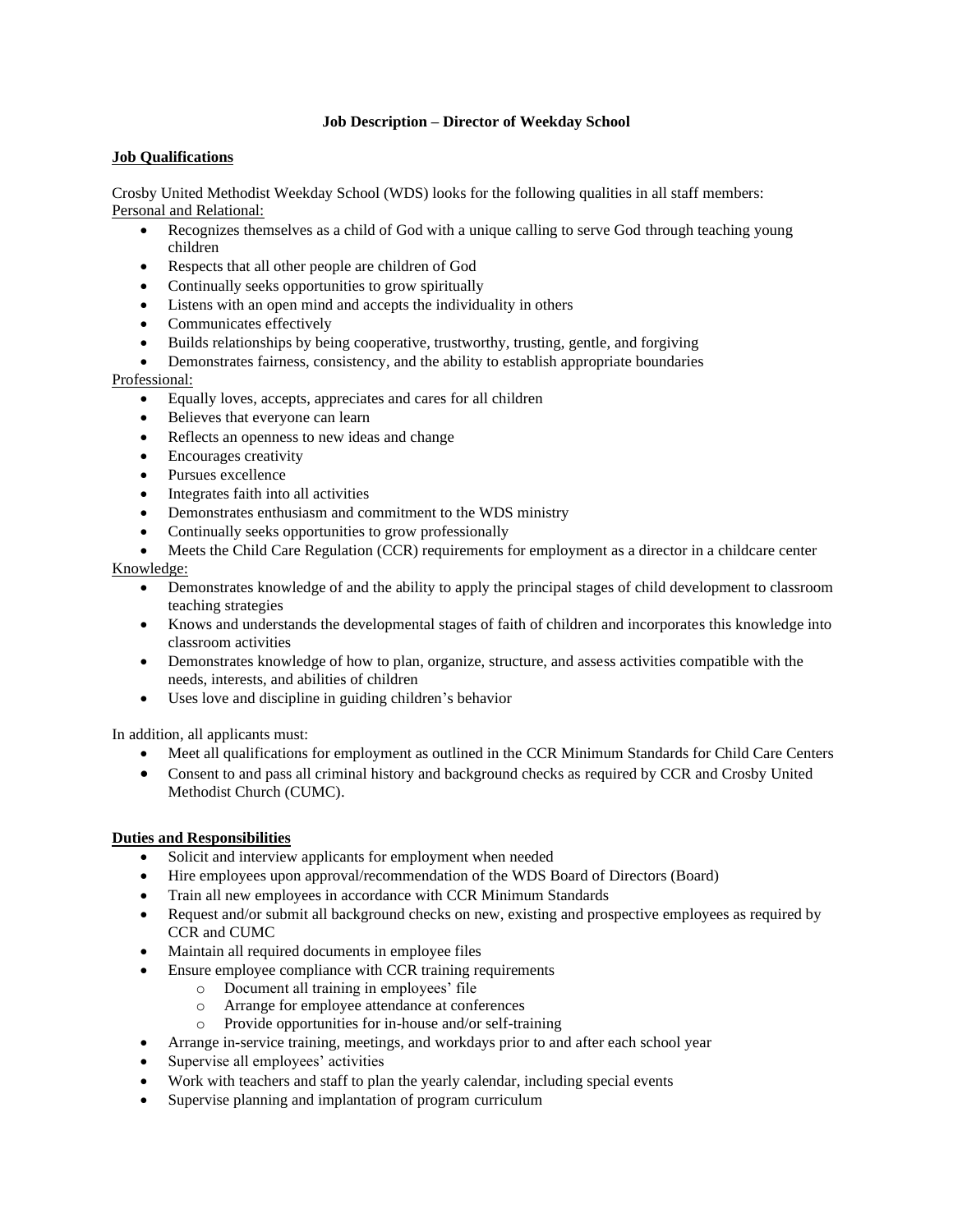## **Job Description – Director of Weekday School**

## **Job Qualifications**

Crosby United Methodist Weekday School (WDS) looks for the following qualities in all staff members: Personal and Relational:

- Recognizes themselves as a child of God with a unique calling to serve God through teaching young children
- Respects that all other people are children of God
- Continually seeks opportunities to grow spiritually
- Listens with an open mind and accepts the individuality in others
- Communicates effectively
- Builds relationships by being cooperative, trustworthy, trusting, gentle, and forgiving
- Demonstrates fairness, consistency, and the ability to establish appropriate boundaries

## Professional:

- Equally loves, accepts, appreciates and cares for all children
- Believes that everyone can learn
- Reflects an openness to new ideas and change
- Encourages creativity
- Pursues excellence
- Integrates faith into all activities
- Demonstrates enthusiasm and commitment to the WDS ministry
- Continually seeks opportunities to grow professionally
- Meets the Child Care Regulation (CCR) requirements for employment as a director in a childcare center Knowledge:
	- Demonstrates knowledge of and the ability to apply the principal stages of child development to classroom teaching strategies
	- Knows and understands the developmental stages of faith of children and incorporates this knowledge into classroom activities
	- Demonstrates knowledge of how to plan, organize, structure, and assess activities compatible with the needs, interests, and abilities of children
	- Uses love and discipline in guiding children's behavior

In addition, all applicants must:

- Meet all qualifications for employment as outlined in the CCR Minimum Standards for Child Care Centers
- Consent to and pass all criminal history and background checks as required by CCR and Crosby United Methodist Church (CUMC).

## **Duties and Responsibilities**

- Solicit and interview applicants for employment when needed
- Hire employees upon approval/recommendation of the WDS Board of Directors (Board)
- Train all new employees in accordance with CCR Minimum Standards
- Request and/or submit all background checks on new, existing and prospective employees as required by CCR and CUMC
- Maintain all required documents in employee files
- Ensure employee compliance with CCR training requirements
	- o Document all training in employees' file
	- o Arrange for employee attendance at conferences
	- o Provide opportunities for in-house and/or self-training
- Arrange in-service training, meetings, and workdays prior to and after each school year
- Supervise all employees' activities
- Work with teachers and staff to plan the yearly calendar, including special events
- Supervise planning and implantation of program curriculum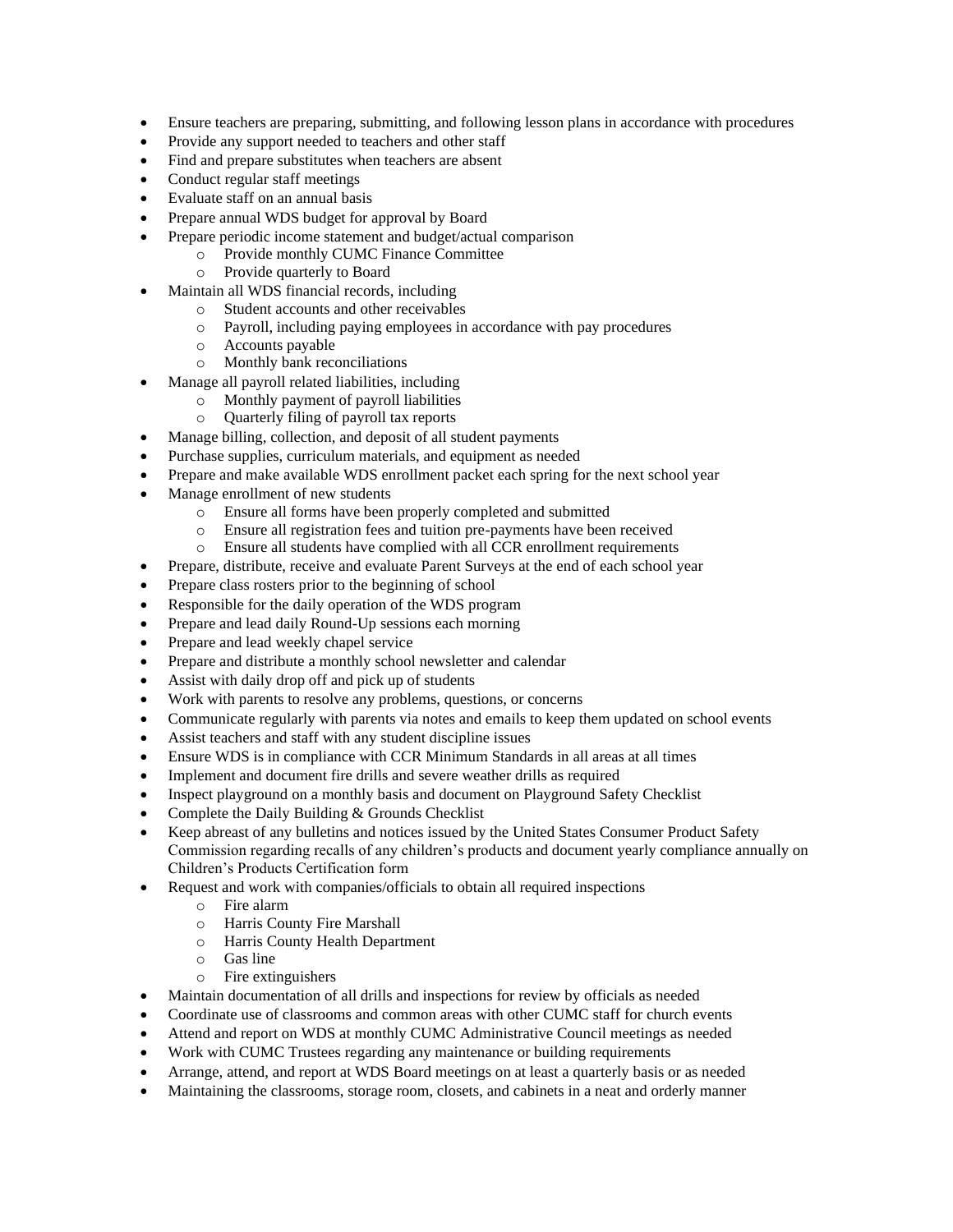- Ensure teachers are preparing, submitting, and following lesson plans in accordance with procedures
- Provide any support needed to teachers and other staff
- Find and prepare substitutes when teachers are absent
- Conduct regular staff meetings
- Evaluate staff on an annual basis
- Prepare annual WDS budget for approval by Board
- Prepare periodic income statement and budget/actual comparison
	- o Provide monthly CUMC Finance Committee
		- o Provide quarterly to Board
- Maintain all WDS financial records, including
	- o Student accounts and other receivables
	- o Payroll, including paying employees in accordance with pay procedures
	- o Accounts payable
	- o Monthly bank reconciliations
- Manage all payroll related liabilities, including
	- o Monthly payment of payroll liabilities
		- o Quarterly filing of payroll tax reports
- Manage billing, collection, and deposit of all student payments
- Purchase supplies, curriculum materials, and equipment as needed
- Prepare and make available WDS enrollment packet each spring for the next school year
- Manage enrollment of new students
	- o Ensure all forms have been properly completed and submitted
	- o Ensure all registration fees and tuition pre-payments have been received
	- o Ensure all students have complied with all CCR enrollment requirements
- Prepare, distribute, receive and evaluate Parent Surveys at the end of each school year
- Prepare class rosters prior to the beginning of school
- Responsible for the daily operation of the WDS program
- Prepare and lead daily Round-Up sessions each morning
- Prepare and lead weekly chapel service
- Prepare and distribute a monthly school newsletter and calendar
- Assist with daily drop off and pick up of students
- Work with parents to resolve any problems, questions, or concerns
- Communicate regularly with parents via notes and emails to keep them updated on school events
- Assist teachers and staff with any student discipline issues
- Ensure WDS is in compliance with CCR Minimum Standards in all areas at all times
- Implement and document fire drills and severe weather drills as required
- Inspect playground on a monthly basis and document on Playground Safety Checklist
- Complete the Daily Building & Grounds Checklist
- Keep abreast of any bulletins and notices issued by the United States Consumer Product Safety Commission regarding recalls of any children's products and document yearly compliance annually on Children's Products Certification form
- Request and work with companies/officials to obtain all required inspections
	- o Fire alarm
	- o Harris County Fire Marshall
	- o Harris County Health Department
	- o Gas line
	- o Fire extinguishers
- Maintain documentation of all drills and inspections for review by officials as needed
- Coordinate use of classrooms and common areas with other CUMC staff for church events
- Attend and report on WDS at monthly CUMC Administrative Council meetings as needed
- Work with CUMC Trustees regarding any maintenance or building requirements
- Arrange, attend, and report at WDS Board meetings on at least a quarterly basis or as needed
- Maintaining the classrooms, storage room, closets, and cabinets in a neat and orderly manner